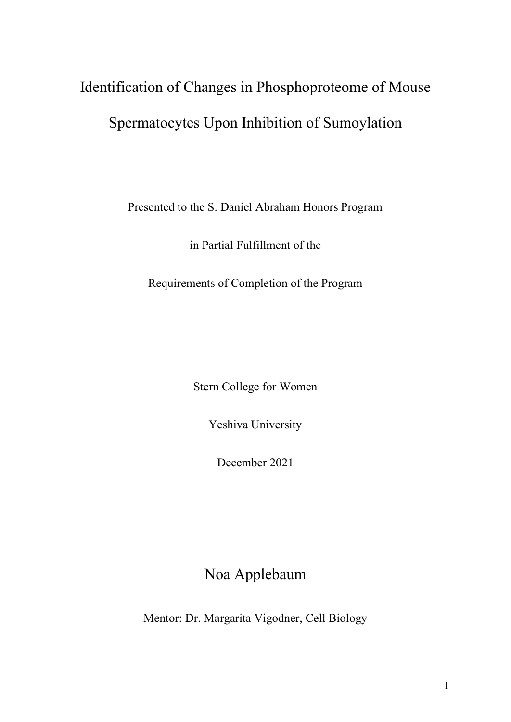# Identification of Changes in Phosphoproteome of Mouse Spermatocytes Upon Inhibition of Sumoylation

Presented to the S. Daniel Abraham Honors Program

in Partial Fulfillment of the

Requirements of Completion of the Program

Stern College for Women

Yeshiva University

December 2021

Noa Applebaum

Mentor: Dr. Margarita Vigodner, Cell Biology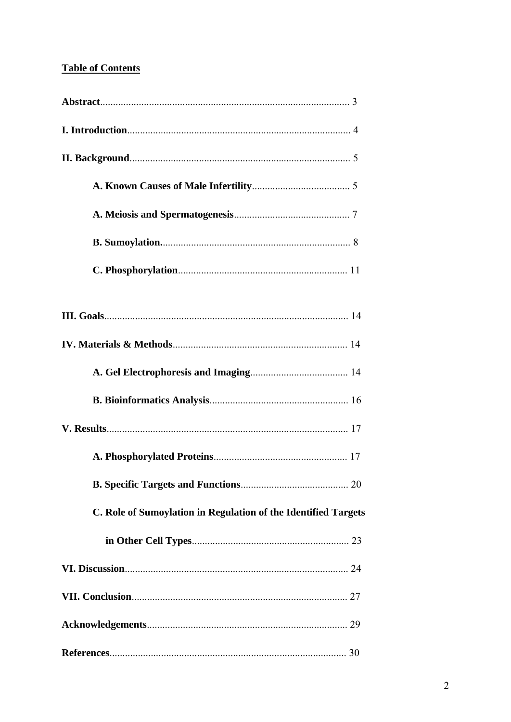# **Table of Contents**

| C. Role of Sumoylation in Regulation of the Identified Targets |
|----------------------------------------------------------------|
|                                                                |
|                                                                |
|                                                                |
|                                                                |
|                                                                |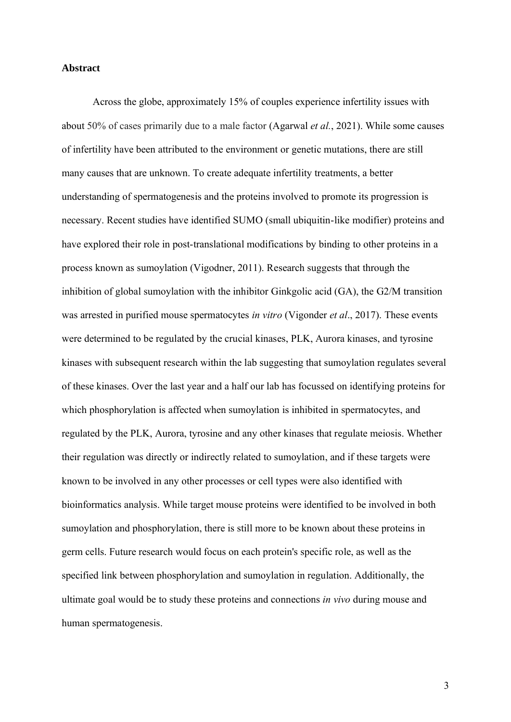#### **Abstract**

Across the globe, approximately 15% of couples experience infertility issues with about 50% of cases primarily due to a male factor (Agarwal *et al.*, 2021). While some causes of infertility have been attributed to the environment or genetic mutations, there are still many causes that are unknown. To create adequate infertility treatments, a better understanding of spermatogenesis and the proteins involved to promote its progression is necessary. Recent studies have identified SUMO (small ubiquitin-like modifier) proteins and have explored their role in post-translational modifications by binding to other proteins in a process known as sumoylation (Vigodner, 2011). Research suggests that through the inhibition of global sumoylation with the inhibitor Ginkgolic acid (GA), the G2/M transition was arrested in purified mouse spermatocytes *in vitro* (Vigonder *et al*., 2017). These events were determined to be regulated by the crucial kinases, PLK, Aurora kinases, and tyrosine kinases with subsequent research within the lab suggesting that sumoylation regulates several of these kinases. Over the last year and a half our lab has focussed on identifying proteins for which phosphorylation is affected when sumoylation is inhibited in spermatocytes, and regulated by the PLK, Aurora, tyrosine and any other kinases that regulate meiosis. Whether their regulation was directly or indirectly related to sumoylation, and if these targets were known to be involved in any other processes or cell types were also identified with bioinformatics analysis. While target mouse proteins were identified to be involved in both sumoylation and phosphorylation, there is still more to be known about these proteins in germ cells. Future research would focus on each protein's specific role, as well as the specified link between phosphorylation and sumoylation in regulation. Additionally, the ultimate goal would be to study these proteins and connections *in vivo* during mouse and human spermatogenesis.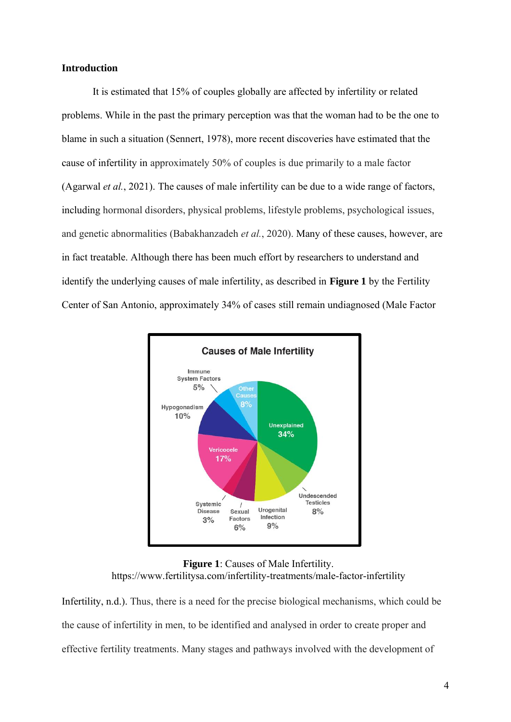#### **Introduction**

It is estimated that 15% of couples globally are affected by infertility or related problems. While in the past the primary perception was that the woman had to be the one to blame in such a situation (Sennert, 1978), more recent discoveries have estimated that the cause of infertility in approximately 50% of couples is due primarily to a male factor (Agarwal *et al.*, 2021). The causes of male infertility can be due to a wide range of factors, including hormonal disorders, physical problems, lifestyle problems, psychological issues, and genetic abnormalities (Babakhanzadeh *et al.*, 2020). Many of these causes, however, are in fact treatable. Although there has been much effort by researchers to understand and identify the underlying causes of male infertility, as described in **Figure 1** by the Fertility Center of San Antonio, approximately 34% of cases still remain undiagnosed (Male Factor



**Figure 1**: Causes of Male Infertility. https://www.fertilitysa.com/infertility-treatments/male-factor-infertility

Infertility, n.d.). Thus, there is a need for the precise biological mechanisms, which could be the cause of infertility in men, to be identified and analysed in order to create proper and effective fertility treatments. Many stages and pathways involved with the development of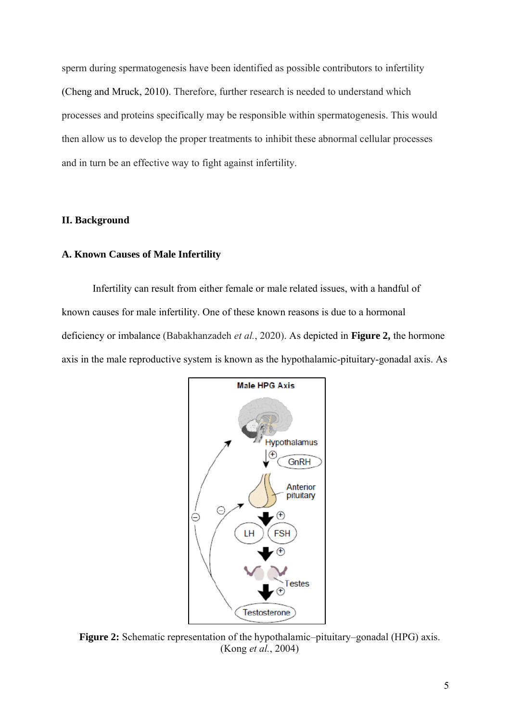sperm during spermatogenesis have been identified as possible contributors to infertility (Cheng and Mruck, 2010). Therefore, further research is needed to understand which processes and proteins specifically may be responsible within spermatogenesis. This would then allow us to develop the proper treatments to inhibit these abnormal cellular processes and in turn be an effective way to fight against infertility.

# **II. Background**

#### **A. Known Causes of Male Infertility**

Infertility can result from either female or male related issues, with a handful of known causes for male infertility. One of these known reasons is due to a hormonal deficiency or imbalance (Babakhanzadeh *et al.*, 2020). As depicted in **Figure 2,** the hormone axis in the male reproductive system is known as the hypothalamic-pituitary-gonadal axis. As



**Figure 2:** Schematic representation of the hypothalamic–pituitary–gonadal (HPG) axis. (Kong *et al.*, 2004)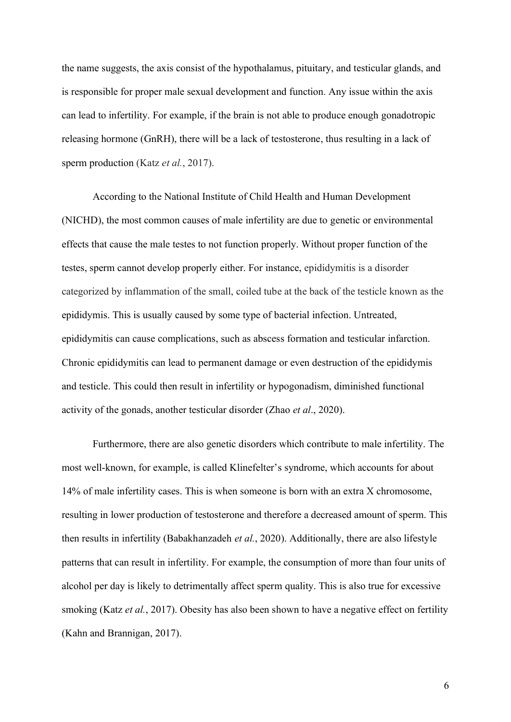the name suggests, the axis consist of the hypothalamus, pituitary, and testicular glands, and is responsible for proper male sexual development and function. Any issue within the axis can lead to infertility. For example, if the brain is not able to produce enough gonadotropic releasing hormone (GnRH), there will be a lack of testosterone, thus resulting in a lack of sperm production (Katz *et al.*, 2017).

According to the National Institute of Child Health and Human Development (NICHD), the most common causes of male infertility are due to genetic or environmental effects that cause the male testes to not function properly. Without proper function of the testes, sperm cannot develop properly either. For instance, epididymitis is a disorder categorized by inflammation of the small, coiled tube at the back of the testicle known as the epididymis. This is usually caused by some type of bacterial infection. Untreated, epididymitis can cause complications, such as abscess formation and testicular infarction. Chronic epididymitis can lead to permanent damage or even destruction of the epididymis and testicle. This could then result in infertility or hypogonadism, diminished functional activity of the gonads, another testicular disorder (Zhao *et al*., 2020).

Furthermore, there are also genetic disorders which contribute to male infertility. The most well-known, for example, is called Klinefelter's syndrome, which accounts for about 14% of male infertility cases. This is when someone is born with an extra X chromosome, resulting in lower production of testosterone and therefore a decreased amount of sperm. This then results in infertility (Babakhanzadeh *et al.*, 2020). Additionally, there are also lifestyle patterns that can result in infertility. For example, the consumption of more than four units of alcohol per day is likely to detrimentally affect sperm quality. This is also true for excessive smoking (Katz *et al.*, 2017). Obesity has also been shown to have a negative effect on fertility (Kahn and Brannigan, 2017).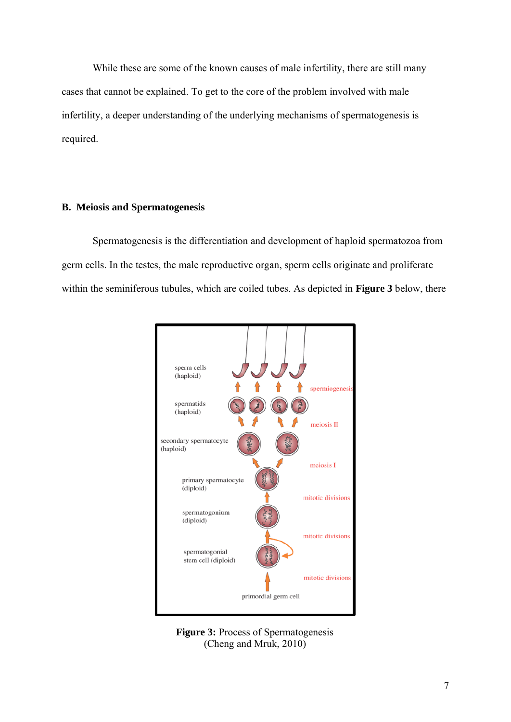While these are some of the known causes of male infertility, there are still many cases that cannot be explained. To get to the core of the problem involved with male infertility, a deeper understanding of the underlying mechanisms of spermatogenesis is required.

# **B. Meiosis and Spermatogenesis**

Spermatogenesis is the differentiation and development of haploid spermatozoa from germ cells. In the testes, the male reproductive organ, sperm cells originate and proliferate within the seminiferous tubules, which are coiled tubes. As depicted in **Figure 3** below, there



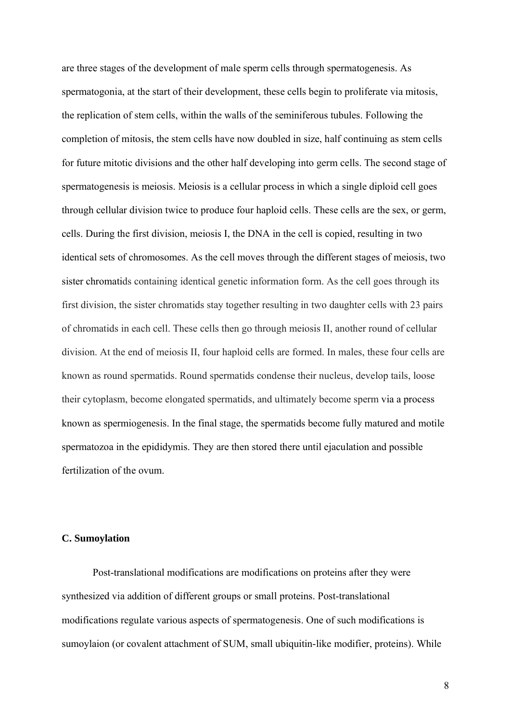are three stages of the development of male sperm cells through spermatogenesis. As spermatogonia, at the start of their development, these cells begin to proliferate via mitosis, the replication of stem cells, within the walls of the seminiferous tubules. Following the completion of mitosis, the stem cells have now doubled in size, half continuing as stem cells for future mitotic divisions and the other half developing into germ cells. The second stage of spermatogenesis is meiosis. Meiosis is a cellular process in which a single diploid cell goes through cellular division twice to produce four haploid cells. These cells are the sex, or germ, cells. During the first division, meiosis I, the DNA in the cell is copied, resulting in two identical sets of chromosomes. As the cell moves through the different stages of meiosis, two sister chromatids containing identical genetic information form. As the cell goes through its first division, the sister chromatids stay together resulting in two daughter cells with 23 pairs of chromatids in each cell. These cells then go through meiosis II, another round of cellular division. At the end of meiosis II, four haploid cells are formed. In males, these four cells are known as round spermatids. Round spermatids condense their nucleus, develop tails, loose their cytoplasm, become elongated spermatids, and ultimately become sperm via a process known as spermiogenesis. In the final stage, the spermatids become fully matured and motile spermatozoa in the epididymis. They are then stored there until ejaculation and possible fertilization of the ovum.

# **C. Sumoylation**

Post-translational modifications are modifications on proteins after they were synthesized via addition of different groups or small proteins. Post-translational modifications regulate various aspects of spermatogenesis. One of such modifications is sumoylaion (or covalent attachment of SUM, small ubiquitin-like modifier, proteins). While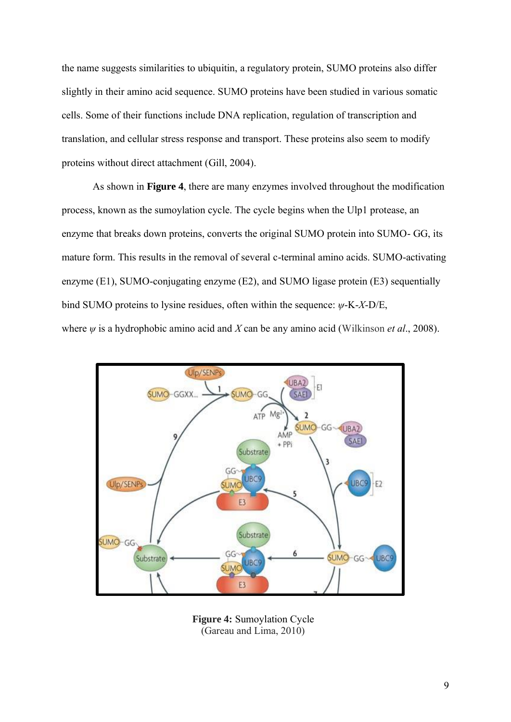the name suggests similarities to ubiquitin, a regulatory protein, SUMO proteins also differ slightly in their amino acid sequence. SUMO proteins have been studied in various somatic cells. Some of their functions include DNA replication, regulation of transcription and translation, and cellular stress response and transport. These proteins also seem to modify proteins without direct attachment (Gill, 2004).

As shown in **Figure 4**, there are many enzymes involved throughout the modification process, known as the sumoylation cycle. The cycle begins when the Ulp1 protease, an enzyme that breaks down proteins, converts the original SUMO protein into SUMO- GG, its mature form. This results in the removal of several c-terminal amino acids. SUMO-activating enzyme (E1), SUMO-conjugating enzyme (E2), and SUMO ligase protein (E3) sequentially bind SUMO proteins to lysine residues, often within the sequence: *ψ*-K-*X*-D/E, where *ψ* is a hydrophobic amino acid and *X* can be any amino acid (Wilkinso[n](https://rep.bioscientifica.com/view/journals/rep/151/2/149.xml#bib47) *[et al](https://rep.bioscientifica.com/view/journals/rep/151/2/149.xml#bib47)*[., 2008](https://rep.bioscientifica.com/view/journals/rep/151/2/149.xml#bib47)).



**Figure 4:** Sumoylation Cycle (Gareau and Lima, 2010)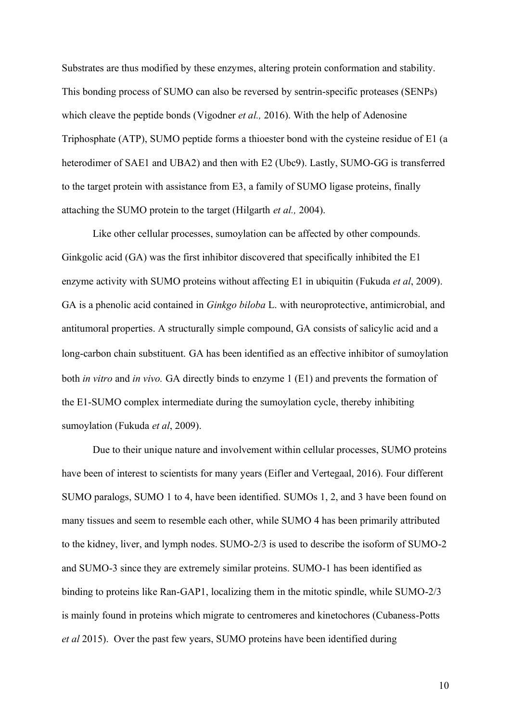Substrates are thus modified by these enzymes, altering protein conformation and stability. This bonding process of SUMO can also be reversed by sentrin-specific proteases (SENPs) which cleave the peptide bonds (Vigodner *et al.,* 2016). With the help of Adenosine Triphosphate (ATP), SUMO peptide forms a thioester bond with the cysteine residue of E1 (a heterodimer of SAE1 and UBA2) and then with E2 (Ubc9). Lastly, SUMO-GG is transferred to the target protein with assistance from E3, a family of SUMO ligase proteins, finally attaching the SUMO protein to the target (Hilgarth *et al.,* 2004).

Like other cellular processes, sumoylation can be affected by other compounds. Ginkgolic acid (GA) was the first inhibitor discovered that specifically inhibited the E1 enzyme activity with SUMO proteins without affecting E1 in ubiquitin (Fukuda *et al*, 2009). GA is a phenolic acid contained in *Ginkgo biloba* L. with neuroprotective, antimicrobial, and antitumoral properties. A structurally simple compound, GA consists of salicylic acid and a long-carbon chain substituent. GA has been identified as an effective inhibitor of sumoylation both *in vitro* and *in vivo.* GA directly binds to enzyme 1 (E1) and prevents the formation of the E1-SUMO complex intermediate during the sumoylation cycle, thereby inhibiting sumoylation (Fukuda *et al*, 2009).

Due to their unique nature and involvement within cellular processes, SUMO proteins have been of interest to scientists for many years (Eifler and Vertegaal, 2016). Four different SUMO paralogs, SUMO 1 to 4, have been identified. SUMOs 1, 2, and 3 have been found on many tissues and seem to resemble each other, while SUMO 4 has been primarily attributed to the kidney, liver, and lymph nodes. SUMO-2/3 is used to describe the isoform of SUMO-2 and SUMO-3 since they are extremely similar proteins. SUMO-1 has been identified as binding to proteins like Ran-GAP1, localizing them in the mitotic spindle, while SUMO-2/3 is mainly found in proteins which migrate to centromeres and kinetochores (Cubaness-Potts *et al* 2015). Over the past few years, SUMO proteins have been identified during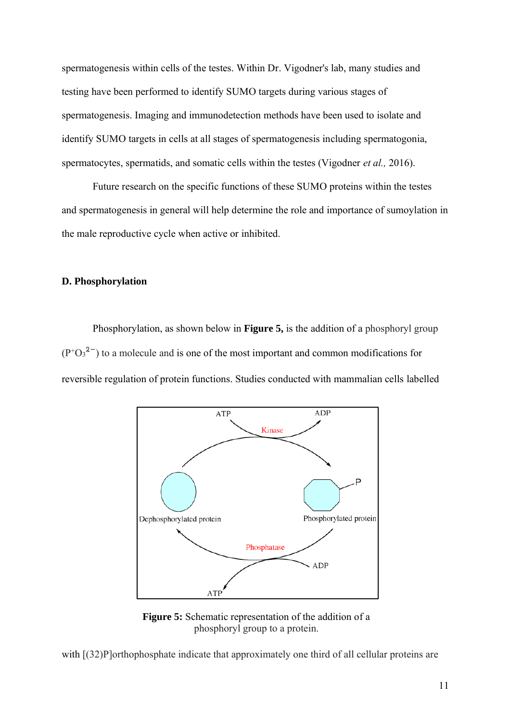spermatogenesis within cells of the testes. Within Dr. Vigodner's lab, many studies and testing have been performed to identify SUMO targets during various stages of spermatogenesis. Imaging and immunodetection methods have been used to isolate and identify SUMO targets in cells at all stages of spermatogenesis including spermatogonia, spermatocytes, spermatids, and somatic cells within the testes (Vigodner *et al.,* 2016).

Future research on the specific functions of these SUMO proteins within the testes and spermatogenesis in general will help determine the role and importance of sumoylation in the male reproductive cycle when active or inhibited.

#### **D. Phosphorylation**

Phosphorylation, as shown below in **Figure 5,** is the addition of a phosphoryl group  $(P<sup>+</sup>O<sub>3</sub><sup>2</sup>)$  to a molecule and is one of the most important and common modifications for reversible regulation of protein functions. Studies conducted with mammalian cells labelled



**Figure 5:** Schematic representation of the addition of a phosphoryl group to a protein.

with  $[(32)P]$  orthophosphate indicate that approximately one third of all cellular proteins are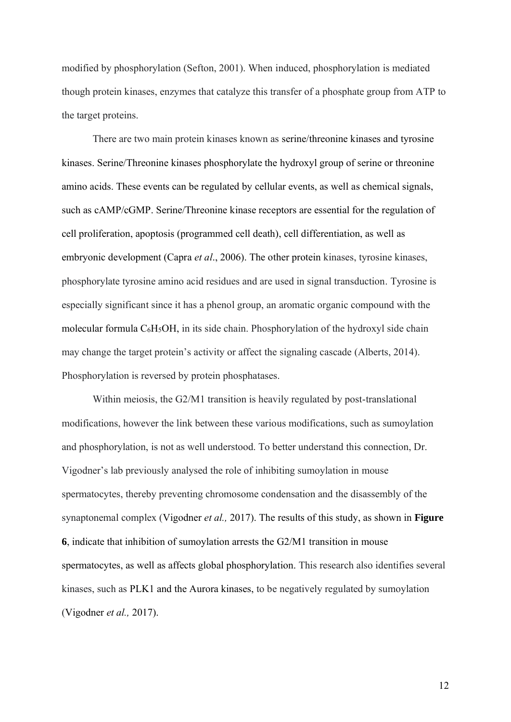modified by phosphorylation (Sefton, 2001). When induced, phosphorylation is mediated though protein kinases, enzymes that catalyze this transfer of a phosphate group from ATP to the target proteins.

There are two main protein kinases known as serine/threonine kinases and tyrosine kinases. Serine/Threonine kinases phosphorylate the hydroxyl group of serine or threonine amino acids. These events can be regulated by cellular events, as well as chemical signals, such as cAMP/cGMP. Serine/Threonine kinase receptors are essential for the regulation of cell proliferation, apoptosis (programmed cell death), cell differentiation, as well as embryonic development (Capra *et al*., 2006). The other protein kinases, tyrosine kinases, phosphorylate tyrosine amino acid residues and are used in signal transduction. Tyrosine is especially significant since it has a phenol group, an aromatic organic compound with the molecular [formula](https://en.wikipedia.org/wiki/Chemical_formula) C6H5OH, in its side chain. Phosphorylation of the hydroxyl side chain may change the target protein's activity or affect the signaling cascade (Alberts, 2014). Phosphorylation is reversed by protein phosphatases.

Within meiosis, the G2/M1 transition is heavily regulated by post-translational modifications, however the link between these various modifications, such as sumoylation and phosphorylation, is not as well understood. To better understand this connection, Dr. Vigodner's lab previously analysed the role of inhibiting sumoylation in mouse spermatocytes, thereby preventing chromosome condensation and the disassembly of the synaptonemal complex (Vigodner *et al.,* 2017). The results of this study, as shown in **Figure 6**, indicate that inhibition of sumoylation arrests the G2/M1 transition in mouse spermatocytes, as well as affects global phosphorylation. This research also identifies several kinases, such as PLK1 and the Aurora kinases, to be negatively regulated by sumoylation (Vigodner *et al.,* 2017).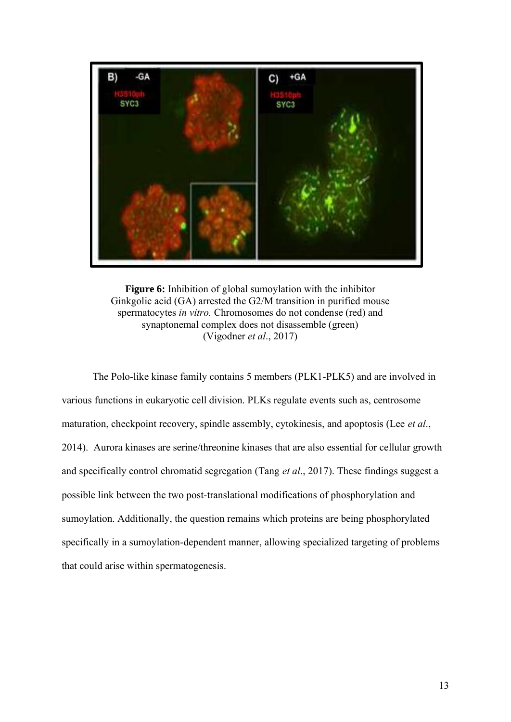

**Figure 6:** Inhibition of global sumoylation with the inhibitor Ginkgolic acid (GA) arrested the G2/M transition in purified mouse spermatocytes *in vitro.* Chromosomes do not condense (red) and synaptonemal complex does not disassemble (green) (Vigodner *et al*., 2017)

The Polo-like kinase family contains 5 members (PLK1-PLK5) and are involved in various functions in eukaryotic cell division. PLKs regulate events such as, centrosome maturation, checkpoint recovery, spindle assembly, cytokinesis, and apoptosis (Lee *et al*., 2014). Aurora kinases are serine/threonine kinases that are also essential for cellular growth and specifically control chromatid segregation (Tang *et al*., 2017). These findings suggest a possible link between the two post-translational modifications of phosphorylation and sumoylation. Additionally, the question remains which proteins are being phosphorylated specifically in a sumoylation-dependent manner, allowing specialized targeting of problems that could arise within spermatogenesis.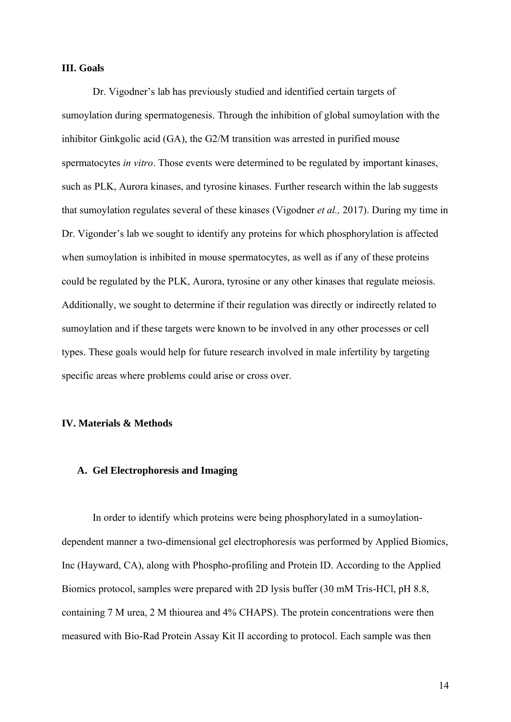#### **III. Goals**

Dr. Vigodner's lab has previously studied and identified certain targets of sumoylation during spermatogenesis. Through the inhibition of global sumoylation with the inhibitor Ginkgolic acid (GA), the G2/M transition was arrested in purified mouse spermatocytes *in vitro*. Those events were determined to be regulated by important kinases, such as PLK, Aurora kinases, and tyrosine kinases. Further research within the lab suggests that sumoylation regulates several of these kinases (Vigodner *et al.,* 2017). During my time in Dr. Vigonder's lab we sought to identify any proteins for which phosphorylation is affected when sumoylation is inhibited in mouse spermatocytes, as well as if any of these proteins could be regulated by the PLK, Aurora, tyrosine or any other kinases that regulate meiosis. Additionally, we sought to determine if their regulation was directly or indirectly related to sumoylation and if these targets were known to be involved in any other processes or cell types. These goals would help for future research involved in male infertility by targeting specific areas where problems could arise or cross over.

#### **IV. Materials & Methods**

#### **A. Gel Electrophoresis and Imaging**

In order to identify which proteins were being phosphorylated in a sumoylationdependent manner a two-dimensional gel electrophoresis was performed by Applied Biomics, Inc (Hayward, CA), along with Phospho-profiling and Protein ID. According to the Applied Biomics protocol, samples were prepared with 2D lysis buffer (30 mM Tris-HCl, pH 8.8, containing 7 M urea, 2 M thiourea and 4% CHAPS). The protein concentrations were then measured with Bio-Rad Protein Assay Kit II according to protocol. Each sample was then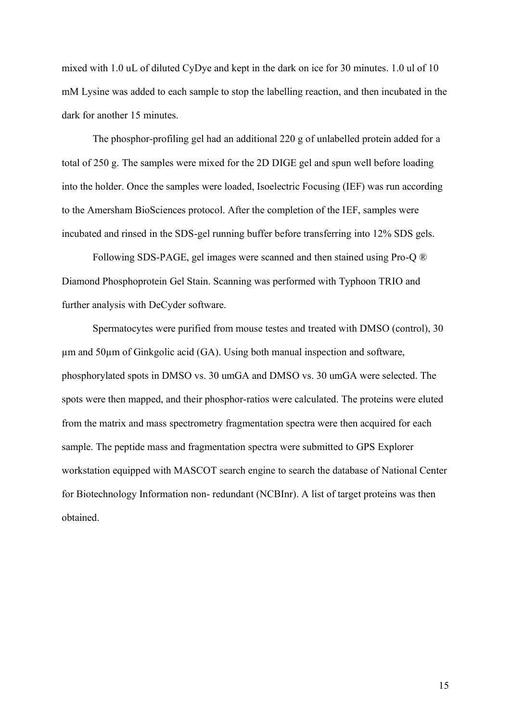mixed with 1.0 uL of diluted CyDye and kept in the dark on ice for 30 minutes. 1.0 ul of 10 mM Lysine was added to each sample to stop the labelling reaction, and then incubated in the dark for another 15 minutes.

The phosphor-profiling gel had an additional 220 g of unlabelled protein added for a total of 250 g. The samples were mixed for the 2D DIGE gel and spun well before loading into the holder. Once the samples were loaded, Isoelectric Focusing (IEF) was run according to the Amersham BioSciences protocol. After the completion of the IEF, samples were incubated and rinsed in the SDS-gel running buffer before transferring into 12% SDS gels.

Following SDS-PAGE, gel images were scanned and then stained using Pro-Q ® Diamond Phosphoprotein Gel Stain. Scanning was performed with Typhoon TRIO and further analysis with DeCyder software.

Spermatocytes were purified from mouse testes and treated with DMSO (control), 30 µm and 50µm of Ginkgolic acid (GA). Using both manual inspection and software, phosphorylated spots in DMSO vs. 30 umGA and DMSO vs. 30 umGA were selected. The spots were then mapped, and their phosphor-ratios were calculated. The proteins were eluted from the matrix and mass spectrometry fragmentation spectra were then acquired for each sample. The peptide mass and fragmentation spectra were submitted to GPS Explorer workstation equipped with MASCOT search engine to search the database of National Center for Biotechnology Information non- redundant (NCBInr). A list of target proteins was then obtained.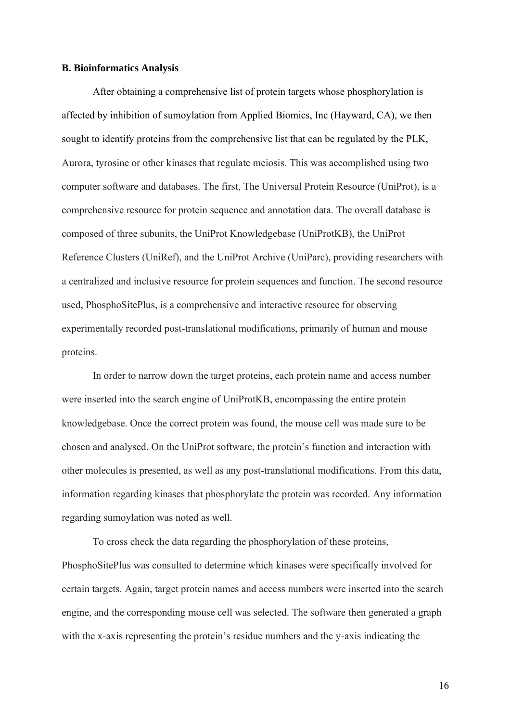#### **B. Bioinformatics Analysis**

After obtaining a comprehensive list of protein targets whose phosphorylation is affected by inhibition of sumoylation from Applied Biomics, Inc (Hayward, CA), we then sought to identify proteins from the comprehensive list that can be regulated by the PLK, Aurora, tyrosine or other kinases that regulate meiosis. This was accomplished using two computer software and databases. The first, The Universal Protein Resource (UniProt), is a comprehensive resource for protein sequence and annotation data. The overall database is composed of three subunits, the UniProt Knowledgebase (UniProtKB), the UniProt Reference Clusters (UniRef), and the UniProt Archive (UniParc), providing researchers with a centralized and inclusive resource for protein sequences and function. The second resource used, PhosphoSitePlus, is a comprehensive and interactive resource for observing experimentally recorded post-translational modifications, primarily of human and mouse proteins.

In order to narrow down the target proteins, each protein name and access number were inserted into the search engine of UniProtKB, encompassing the entire protein knowledgebase. Once the correct protein was found, the mouse cell was made sure to be chosen and analysed. On the UniProt software, the protein's function and interaction with other molecules is presented, as well as any post-translational modifications. From this data, information regarding kinases that phosphorylate the protein was recorded. Any information regarding sumoylation was noted as well.

To cross check the data regarding the phosphorylation of these proteins, PhosphoSitePlus was consulted to determine which kinases were specifically involved for certain targets. Again, target protein names and access numbers were inserted into the search engine, and the corresponding mouse cell was selected. The software then generated a graph with the x-axis representing the protein's residue numbers and the y-axis indicating the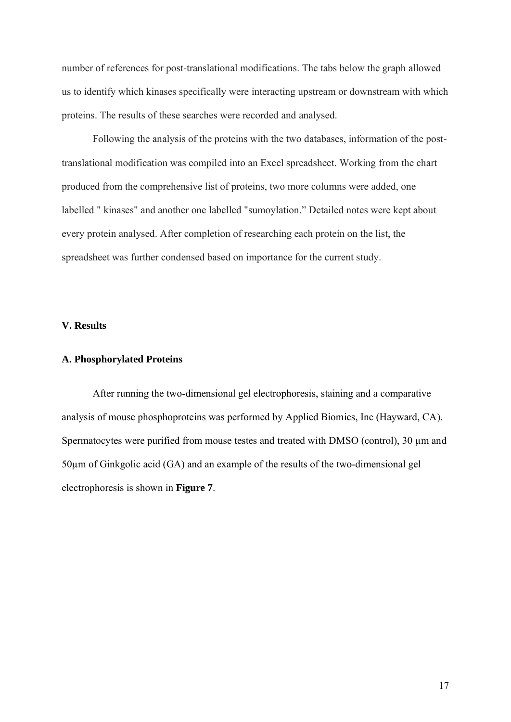number of references for post-translational modifications. The tabs below the graph allowed us to identify which kinases specifically were interacting upstream or downstream with which proteins. The results of these searches were recorded and analysed.

Following the analysis of the proteins with the two databases, information of the posttranslational modification was compiled into an Excel spreadsheet. Working from the chart produced from the comprehensive list of proteins, two more columns were added, one labelled " kinases" and another one labelled "sumoylation." Detailed notes were kept about every protein analysed. After completion of researching each protein on the list, the spreadsheet was further condensed based on importance for the current study.

# **V. Results**

# **A. Phosphorylated Proteins**

After running the two-dimensional gel electrophoresis, staining and a comparative analysis of mouse phosphoproteins was performed by Applied Biomics, Inc (Hayward, CA). Spermatocytes were purified from mouse testes and treated with DMSO (control), 30  $\mu$ m and 50µm of Ginkgolic acid (GA) and an example of the results of the two-dimensional gel electrophoresis is shown in **Figure 7**.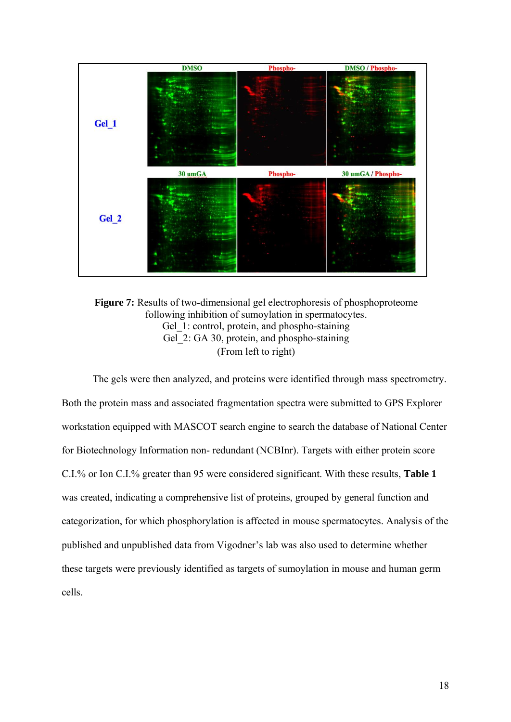

**Figure 7:** Results of two-dimensional gel electrophoresis of phosphoproteome following inhibition of sumoylation in spermatocytes. Gel 1: control, protein, and phospho-staining Gel 2: GA 30, protein, and phospho-staining (From left to right)

The gels were then analyzed, and proteins were identified through mass spectrometry. Both the protein mass and associated fragmentation spectra were submitted to GPS Explorer workstation equipped with MASCOT search engine to search the database of National Center for Biotechnology Information non- redundant (NCBInr). Targets with either protein score C.I.% or Ion C.I.% greater than 95 were considered significant. With these results, **Table 1**  was created, indicating a comprehensive list of proteins, grouped by general function and categorization, for which phosphorylation is affected in mouse spermatocytes. Analysis of the published and unpublished data from Vigodner's lab was also used to determine whether these targets were previously identified as targets of sumoylation in mouse and human germ cells.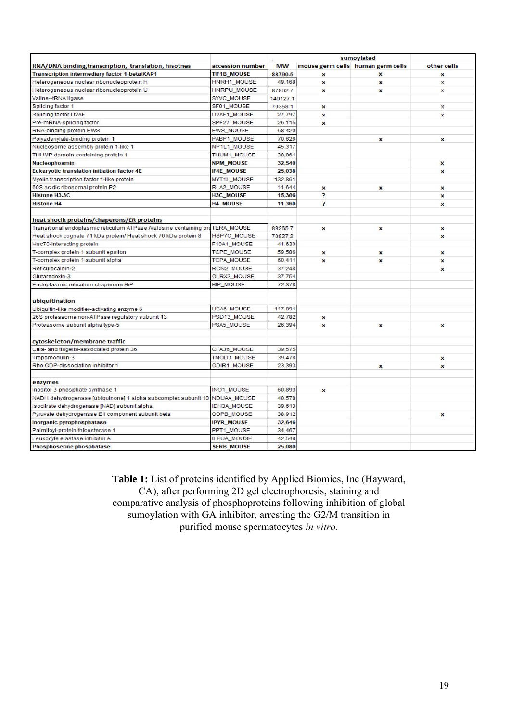|                                                                              |                    | sumoylated |                           |                                   |                           |
|------------------------------------------------------------------------------|--------------------|------------|---------------------------|-----------------------------------|---------------------------|
| RNA/DNA binding, transcription, translation, hisotnes                        | accession number   | <b>MW</b>  |                           | mouse germ cells human germ cells | other cells               |
| <b>Transcription intermediary factor 1-beta/KAP1</b>                         | <b>TIF1B MOUSE</b> | 88790.5    | $\boldsymbol{\mathsf{x}}$ | x                                 | $\boldsymbol{x}$          |
| Heterogeneous nuclear ribonucleoprotein H                                    | HNRH1_MOUSE        | 49,168     | $\pmb{\times}$            | $\pmb{\times}$                    | $\mathsf{x}$              |
| Heterogeneous nuclear ribonucleoprotein U                                    | <b>HNRPU_MOUSE</b> | 87862.7    | $\pmb{\times}$            | $\boldsymbol{x}$                  | $\boldsymbol{\mathsf{x}}$ |
| Valine-tRNA ligase                                                           | SYVC_MOUSE         | 140127.1   |                           |                                   |                           |
| Splicing factor 1                                                            | SF01_MOUSE         | 70358.1    | $\boldsymbol{x}$          |                                   | x                         |
| Splicing factor U2AF                                                         | U2AF1_MOUSE        | 27,797     | $\pmb{\times}$            |                                   | X                         |
| Pre-mRNA-splicing factor                                                     | SPF27 MOUSE        | 26.115     | $\mathbf{x}$              |                                   |                           |
| RNA-binding protein EWS                                                      | EWS_MOUSE          | 68,420     |                           |                                   |                           |
| Polyadenylate-binding protein 1                                              | PABP1_MOUSE        | 70,626     |                           | $\pmb{\times}$                    | x                         |
| Nucleosome assembly protein 1-like 1                                         | NP1L1 MOUSE        | 45.317     |                           |                                   |                           |
| THUMP domain-containing protein 1                                            | THUM1_MOUSE        | 38,861     |                           |                                   |                           |
| Nucleophosmin                                                                | <b>NPM_MOUSE</b>   | 32,540     |                           |                                   | X                         |
| <b>Eukaryotic translation initiation factor 4E</b>                           | <b>IF4E MOUSE</b>  | 25,038     |                           |                                   | $\mathbf{x}$              |
| Myelin transcription factor 1-like protein                                   | MYT1L_MOUSE        | 132,861    |                           |                                   |                           |
| 60S acidic ribosomal protein P2                                              | RLA2_MOUSE         | 11,644     | $\pmb{\times}$            | $\pmb{\times}$                    | x                         |
| <b>Histone H3.3C</b>                                                         | H3C_MOUSE          | 15,306     | P                         |                                   | $\boldsymbol{\mathsf{x}}$ |
| <b>Histone H4</b>                                                            | <b>H4 MOUSE</b>    | 11,360     | $\overline{ }$            |                                   | ×                         |
|                                                                              |                    |            |                           |                                   |                           |
| heat shock proteins/chaperons/ER proteins                                    |                    |            |                           |                                   |                           |
| Transitional endoplasmic reticulum ATPase /valosine containing proTERA_MOUSE |                    | 89265.7    | $\pmb{\times}$            | $\pmb{\times}$                    | x                         |
| Heat shock cognate 71 kDa protein/ Heat shock 70 kDa protein 8               | HSP7C_MOUSE        | 70827.2    |                           |                                   | x                         |
| Hsc70-interacting protein                                                    | F10A1_MOUSE        | 41,630     |                           |                                   |                           |
| T-complex protein 1 subunit epsilon                                          | TCPE MOUSE         | 59,586     | $\boldsymbol{\mathsf{x}}$ | $\pmb{\times}$                    | x                         |
| T-complex protein 1 subunit alpha                                            | <b>TCPA_MOUSE</b>  | 60,411     | $\boldsymbol{x}$          | $\boldsymbol{\mathsf{x}}$         | $\boldsymbol{\mathsf{x}}$ |
| Reticulocalbin-2                                                             | RCN2_MOUSE         | 37.248     |                           |                                   | $\boldsymbol{\mathsf{x}}$ |
| Glutaredoxin-3                                                               | GLRX3_MOUSE        | 37.754     |                           |                                   |                           |
| Endoplasmic reticulum chaperone BiP                                          | BIP_MOUSE          | 72,378     |                           |                                   |                           |
|                                                                              |                    |            |                           |                                   |                           |
| ubiquitination                                                               |                    |            |                           |                                   |                           |
| Ubiquitin-like modifier-activating enzyme 6                                  | <b>UBA6_MOUSE</b>  | 117,891    |                           |                                   |                           |
| 26S proteasome non-ATPase regulatory subunit 13                              | PSD13_MOUSE        | 42,782     | x                         |                                   |                           |
| Proteasome subunit alpha type-5                                              | PSA5_MOUSE         | 26,394     | $\mathbf{x}$              | $\boldsymbol{\mathsf{x}}$         | $\mathbf{x}$              |
|                                                                              |                    |            |                           |                                   |                           |
| cytoskeleton/membrane traffic                                                |                    |            |                           |                                   |                           |
| Cilia- and flagella-associated protein 36                                    | CFA36_MOUSE        | 39,575     |                           |                                   |                           |
| Tropomodulin-3                                                               | TMOD3_MOUSE        | 39,478     |                           |                                   | x                         |
| Rho GDP-dissociation inhibitor 1                                             | GDIR1_MOUSE        | 23,393     |                           | $\boldsymbol{x}$                  | x                         |
|                                                                              |                    |            |                           |                                   |                           |
| enzymes                                                                      |                    |            |                           |                                   |                           |
| Inositol-3-phosphate synthase 1                                              | INO1_MOUSE         | 60,893     | $\boldsymbol{x}$          |                                   |                           |
| NADH dehydrogenase [ubiquinone] 1 alpha subcomplex subunit 10                | NDUAA MOUSE        | 40,578     |                           |                                   |                           |
| Isocitrate dehydrogenase [NAD] subunit alpha,                                | <b>IDH3A MOUSE</b> | 39,613     |                           |                                   |                           |
| Pyruvate dehydrogenase E1 component subunit beta                             | ODPB_MOUSE         | 38,912     |                           |                                   | $\boldsymbol{\mathsf{x}}$ |
| Inorganic pyrophosphatase                                                    | <b>IPYR_MOUSE</b>  | 32,646     |                           |                                   |                           |
| Palmitoyl-protein thioesterase 1                                             | PPT1_MOUSE         | 34,467     |                           |                                   |                           |
| Leukocyte elastase inhibitor A                                               | <b>ILEUA_MOUSE</b> | 42,548     |                           |                                   |                           |
| Phosphoserine phosphatase                                                    | <b>SERB MOUSE</b>  | 25,080     |                           |                                   |                           |

**Table 1:** List of proteins identified by Applied Biomics, Inc (Hayward, CA), after performing 2D gel electrophoresis, staining and comparative analysis of phosphoproteins following inhibition of global sumoylation with GA inhibitor, arresting the G2/M transition in purified mouse spermatocytes *in vitro.*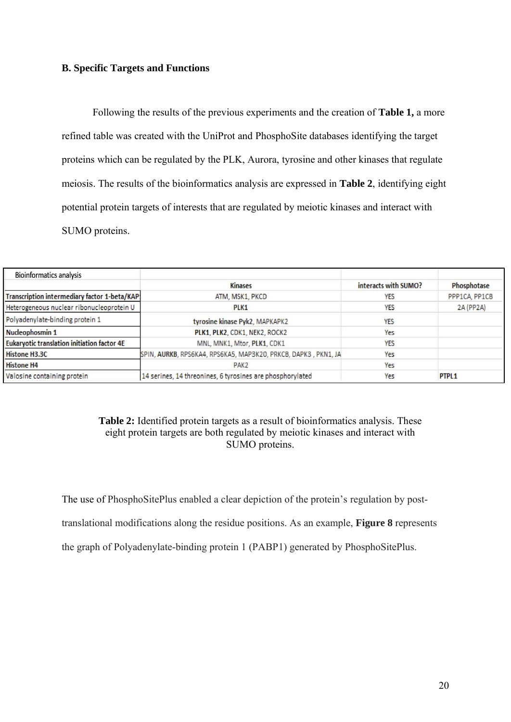# **B. Specific Targets and Functions**

Following the results of the previous experiments and the creation of **Table 1,** a more refined table was created with the UniProt and PhosphoSite databases identifying the target proteins which can be regulated by the PLK, Aurora, tyrosine and other kinases that regulate meiosis. The results of the bioinformatics analysis are expressed in **Table 2**, identifying eight potential protein targets of interests that are regulated by meiotic kinases and interact with SUMO proteins.

| <b>Bioinformatics analysis</b>                     |                                                                |                      |                   |
|----------------------------------------------------|----------------------------------------------------------------|----------------------|-------------------|
|                                                    | <b>Kinases</b>                                                 | interacts with SUMO? | Phosphotase       |
| Transcription intermediary factor 1-beta/KAP       | ATM, MSK1, PKCD                                                | YES                  | PPP1CA, PP1CB     |
| Heterogeneous nuclear ribonucleoprotein U          | PLK <sub>1</sub>                                               | YES                  | 2A (PP2A)         |
| Polyadenylate-binding protein 1                    | tyrosine kinase Pyk2, MAPKAPK2                                 | <b>YES</b>           |                   |
| Nucleophosmin 1                                    | PLK1, PLK2, CDK1, NEK2, ROCK2                                  | Yes                  |                   |
| <b>Eukaryotic translation initiation factor 4E</b> | MNL, MNK1, Mtor, PLK1, CDK1                                    | <b>YES</b>           |                   |
| <b>Histone H3.3C</b>                               | SPIN, AURKB, RPS6KA4, RPS6KA5, MAP3K20, PRKCB, DAPK3, PKN1, JA | Yes                  |                   |
| <b>Histone H4</b>                                  | PAK <sub>2</sub>                                               | Yes                  |                   |
| Valosine containing protein                        | 14 serines, 14 threonines, 6 tyrosines are phosphorylated      | Yes                  | PTPL <sub>1</sub> |

# **Table 2:** Identified protein targets as a result of bioinformatics analysis. These eight protein targets are both regulated by meiotic kinases and interact with SUMO proteins.

The use of PhosphoSitePlus enabled a clear depiction of the protein's regulation by posttranslational modifications along the residue positions. As an example, **Figure 8** represents the graph of Polyadenylate-binding protein 1 (PABP1) generated by PhosphoSitePlus.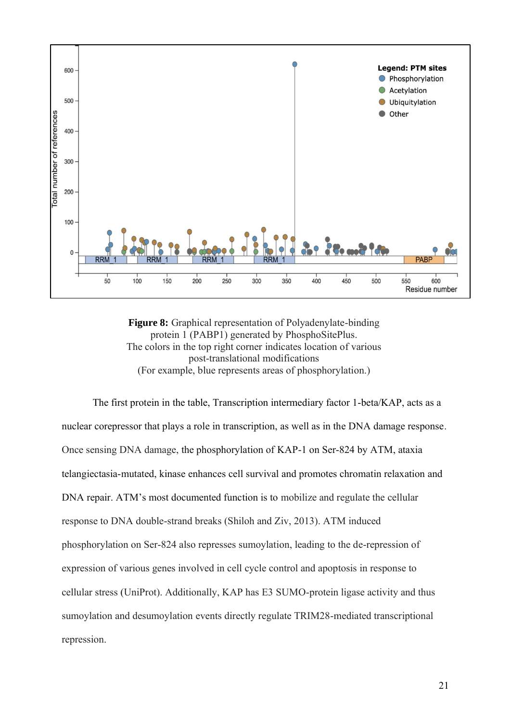

**Figure 8:** Graphical representation of Polyadenylate-binding protein 1 (PABP1) generated by PhosphoSitePlus. The colors in the top right corner indicates location of various post-translational modifications (For example, blue represents areas of phosphorylation.)

The first protein in the table, Transcription intermediary factor 1-beta/KAP, acts as a nuclear corepressor that plays a role in transcription, as well as in the DNA damage response. Once sensing DNA damage, the phosphorylation of KAP-1 on Ser-824 by ATM, ataxia telangiectasia-mutated, kinase enhances cell survival and promotes chromatin relaxation and DNA repair. ATM's most documented function is to mobilize and regulate the cellular response to DNA double-strand breaks (Shiloh and Ziv, 2013). ATM induced phosphorylation on Ser-824 also represses sumoylation, leading to the de-repression of expression of various genes involved in cell cycle control and apoptosis in response to cellular stress (UniProt). Additionally, KAP has E3 SUMO-protein ligase activity and thus sumoylation and desumoylation events directly regulate TRIM28-mediated transcriptional repression.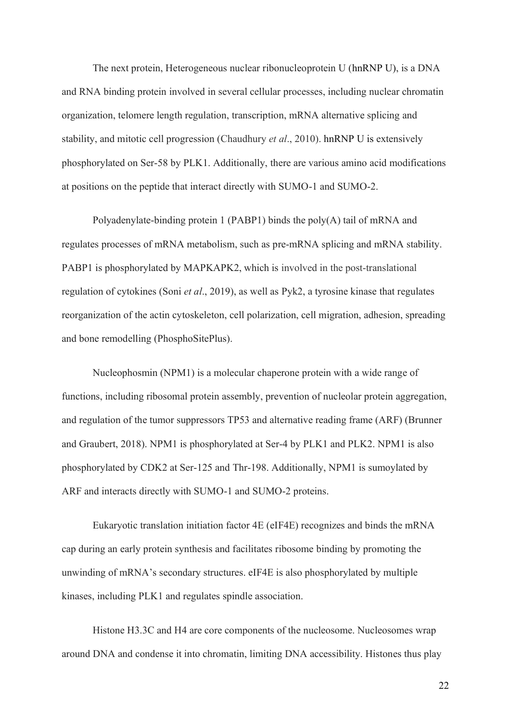The next protein, Heterogeneous nuclear ribonucleoprotein U (hnRNP U), is a DNA and RNA binding protein involved in several cellular processes, including nuclear chromatin organization, telomere length regulation, transcription, mRNA alternative splicing and stability, and mitotic cell progression (Chaudhury *et al*., 2010). hnRNP U is extensively phosphorylated on Ser-58 by PLK1. Additionally, there are various amino acid modifications at positions on the peptide that interact directly with SUMO-1 and SUMO-2.

Polyadenylate-binding protein 1 (PABP1) binds the poly(A) tail of mRNA and regulates processes of mRNA metabolism, such as pre-mRNA splicing and mRNA stability. PABP1 is phosphorylated by MAPKAPK2, which is involved in the post-translational regulation of cytokines (Soni *et al*., 2019), as well as Pyk2, a tyrosine kinase that regulates reorganization of the actin cytoskeleton, cell polarization, cell migration, adhesion, spreading and bone remodelling (PhosphoSitePlus).

Nucleophosmin (NPM1) is a molecular chaperone protein with a wide range of functions, including ribosomal protein assembly, prevention of nucleolar protein aggregation, and regulation of the tumor suppressors TP53 and alternative reading frame (ARF) (Brunner and Graubert, 2018). NPM1 is phosphorylated at Ser-4 by PLK1 and PLK2. NPM1 is also phosphorylated by CDK2 at Ser-125 and Thr-198. Additionally, NPM1 is sumoylated by ARF and interacts directly with SUMO-1 and SUMO-2 proteins.

Eukaryotic translation initiation factor 4E (eIF4E) recognizes and binds the mRNA cap during an early protein synthesis and facilitates ribosome binding by promoting the unwinding of mRNA's secondary structures. eIF4E is also phosphorylated by multiple kinases, including PLK1 and regulates spindle association.

Histone H3.3C and H4 are core components of the nucleosome. Nucleosomes wrap around DNA and condense it into chromatin, limiting DNA accessibility. Histones thus play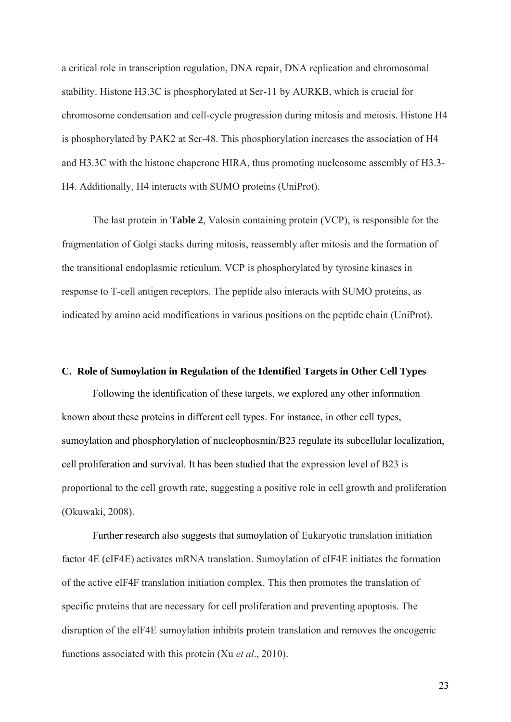a critical role in transcription regulation, DNA repair, DNA replication and chromosomal stability. Histone H3.3C is phosphorylated at Ser-11 by AURKB, which is crucial for chromosome condensation and cell-cycle progression during mitosis and meiosis. Histone H4 is phosphorylated by PAK2 at Ser-48. This phosphorylation increases the association of H4 and H3.3C with the histone chaperone HIRA, thus promoting nucleosome assembly of H3.3- H4. Additionally, H4 interacts with SUMO proteins (UniProt).

The last protein in **Table 2**, Valosin containing protein (VCP), is responsible for the fragmentation of Golgi stacks during mitosis, reassembly after mitosis and the formation of the transitional endoplasmic reticulum. VCP is phosphorylated by tyrosine kinases in response to T-cell antigen receptors. The peptide also interacts with SUMO proteins, as indicated by amino acid modifications in various positions on the peptide chain (UniProt).

# **C. Role of Sumoylation in Regulation of the Identified Targets in Other Cell Types**

Following the identification of these targets, we explored any other information known about these proteins in different cell types. For instance, in other cell types, sumoylation and phosphorylation of nucleophosmin/B23 regulate its subcellular localization, cell proliferation and survival. It has been studied that the expression level of B23 is proportional to the cell growth rate, suggesting a positive role in cell growth and proliferation (Okuwaki, 2008).

Further research also suggests that sumoylation of Eukaryotic translation initiation factor 4E (eIF4E) activates mRNA translation. Sumoylation of eIF4E initiates the formation of the active elF4F translation initiation complex. This then promotes the translation of specific proteins that are necessary for cell proliferation and preventing apoptosis. The disruption of the elF4E sumoylation inhibits protein translation and removes the oncogenic functions associated with this protein (Xu *et al*., 2010).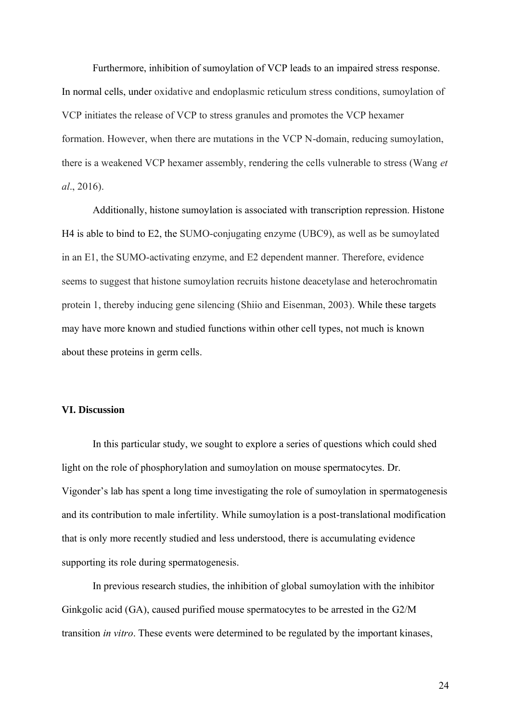Furthermore, inhibition of sumoylation of VCP leads to an impaired stress response. In normal cells, under oxidative and endoplasmic reticulum stress conditions, sumoylation of VCP initiates the release of VCP to stress granules and promotes the VCP hexamer formation. However, when there are mutations in the VCP N-domain, reducing sumoylation, there is a weakened VCP hexamer assembly, rendering the cells vulnerable to stress (Wang *et al*., 2016).

Additionally, histone sumoylation is associated with transcription repression. Histone H4 is able to bind to E2, the SUMO-conjugating enzyme (UBC9), as well as be sumoylated in an E1, the SUMO-activating enzyme, and E2 dependent manner. Therefore, evidence seems to suggest that histone sumoylation recruits histone deacetylase and heterochromatin protein 1, thereby inducing gene silencing (Shiio and Eisenman, 2003). While these targets may have more known and studied functions within other cell types, not much is known about these proteins in germ cells.

# **VI. Discussion**

In this particular study, we sought to explore a series of questions which could shed light on the role of phosphorylation and sumoylation on mouse spermatocytes. Dr. Vigonder's lab has spent a long time investigating the role of sumoylation in spermatogenesis and its contribution to male infertility. While sumoylation is a post-translational modification that is only more recently studied and less understood, there is accumulating evidence supporting its role during spermatogenesis.

In previous research studies, the inhibition of global sumoylation with the inhibitor Ginkgolic acid (GA), caused purified mouse spermatocytes to be arrested in the G2/M transition *in vitro*. These events were determined to be regulated by the important kinases,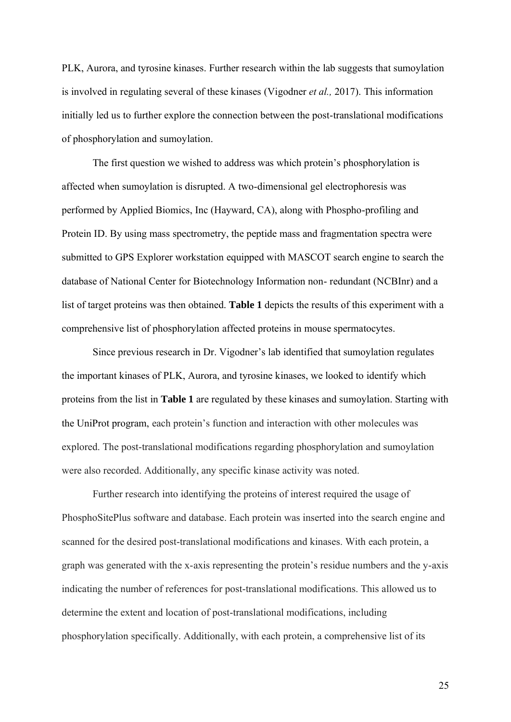PLK, Aurora, and tyrosine kinases. Further research within the lab suggests that sumoylation is involved in regulating several of these kinases (Vigodner *et al.,* 2017). This information initially led us to further explore the connection between the post-translational modifications of phosphorylation and sumoylation.

The first question we wished to address was which protein's phosphorylation is affected when sumoylation is disrupted. A two-dimensional gel electrophoresis was performed by Applied Biomics, Inc (Hayward, CA), along with Phospho-profiling and Protein ID. By using mass spectrometry, the peptide mass and fragmentation spectra were submitted to GPS Explorer workstation equipped with MASCOT search engine to search the database of National Center for Biotechnology Information non- redundant (NCBInr) and a list of target proteins was then obtained. **Table 1** depicts the results of this experiment with a comprehensive list of phosphorylation affected proteins in mouse spermatocytes.

Since previous research in Dr. Vigodner's lab identified that sumoylation regulates the important kinases of PLK, Aurora, and tyrosine kinases, we looked to identify which proteins from the list in **Table 1** are regulated by these kinases and sumoylation. Starting with the UniProt program, each protein's function and interaction with other molecules was explored. The post-translational modifications regarding phosphorylation and sumoylation were also recorded. Additionally, any specific kinase activity was noted.

Further research into identifying the proteins of interest required the usage of PhosphoSitePlus software and database. Each protein was inserted into the search engine and scanned for the desired post-translational modifications and kinases. With each protein, a graph was generated with the x-axis representing the protein's residue numbers and the y-axis indicating the number of references for post-translational modifications. This allowed us to determine the extent and location of post-translational modifications, including phosphorylation specifically. Additionally, with each protein, a comprehensive list of its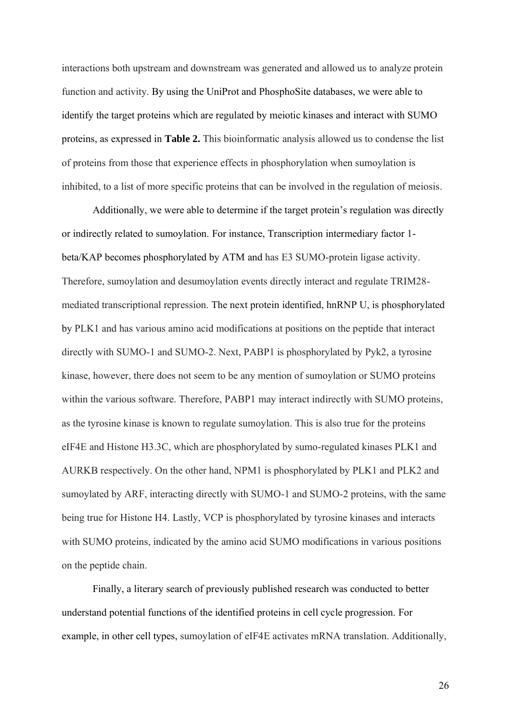interactions both upstream and downstream was generated and allowed us to analyze protein function and activity. By using the UniProt and PhosphoSite databases, we were able to identify the target proteins which are regulated by meiotic kinases and interact with SUMO proteins, as expressed in **Table 2.** This bioinformatic analysis allowed us to condense the list of proteins from those that experience effects in phosphorylation when sumoylation is inhibited, to a list of more specific proteins that can be involved in the regulation of meiosis.

Additionally, we were able to determine if the target protein's regulation was directly or indirectly related to sumoylation. For instance, Transcription intermediary factor 1 beta/KAP becomes phosphorylated by ATM and has E3 SUMO-protein ligase activity. Therefore, sumoylation and desumoylation events directly interact and regulate TRIM28 mediated transcriptional repression. The next protein identified, hnRNP U, is phosphorylated by PLK1 and has various amino acid modifications at positions on the peptide that interact directly with SUMO-1 and SUMO-2. Next, PABP1 is phosphorylated by Pyk2, a tyrosine kinase, however, there does not seem to be any mention of sumoylation or SUMO proteins within the various software. Therefore, PABP1 may interact indirectly with SUMO proteins, as the tyrosine kinase is known to regulate sumoylation. This is also true for the proteins eIF4E and Histone H3.3C, which are phosphorylated by sumo-regulated kinases PLK1 and AURKB respectively. On the other hand, NPM1 is phosphorylated by PLK1 and PLK2 and sumoylated by ARF, interacting directly with SUMO-1 and SUMO-2 proteins, with the same being true for Histone H4. Lastly, VCP is phosphorylated by tyrosine kinases and interacts with SUMO proteins, indicated by the amino acid SUMO modifications in various positions on the peptide chain.

Finally, a literary search of previously published research was conducted to better understand potential functions of the identified proteins in cell cycle progression. For example, in other cell types, sumoylation of eIF4E activates mRNA translation. Additionally,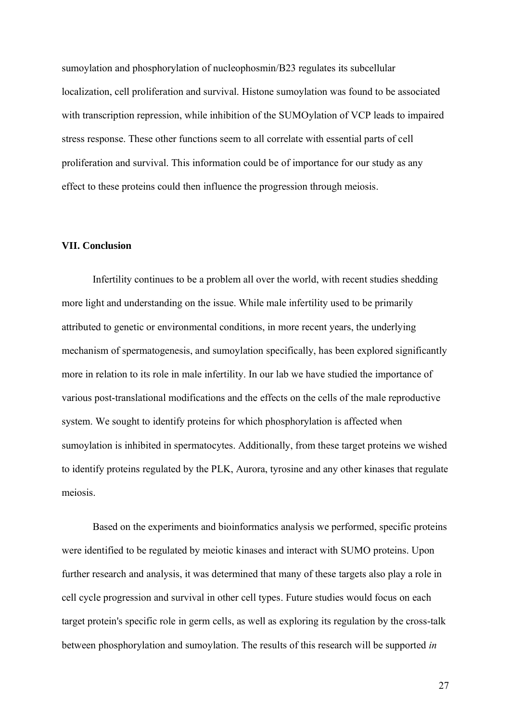sumoylation and phosphorylation of nucleophosmin/B23 regulates its subcellular localization, cell proliferation and survival. Histone sumoylation was found to be associated with transcription repression, while inhibition of the SUMOylation of VCP leads to impaired stress response. These other functions seem to all correlate with essential parts of cell proliferation and survival. This information could be of importance for our study as any effect to these proteins could then influence the progression through meiosis.

#### **VII. Conclusion**

Infertility continues to be a problem all over the world, with recent studies shedding more light and understanding on the issue. While male infertility used to be primarily attributed to genetic or environmental conditions, in more recent years, the underlying mechanism of spermatogenesis, and sumoylation specifically, has been explored significantly more in relation to its role in male infertility. In our lab we have studied the importance of various post-translational modifications and the effects on the cells of the male reproductive system. We sought to identify proteins for which phosphorylation is affected when sumoylation is inhibited in spermatocytes. Additionally, from these target proteins we wished to identify proteins regulated by the PLK, Aurora, tyrosine and any other kinases that regulate meiosis.

Based on the experiments and bioinformatics analysis we performed, specific proteins were identified to be regulated by meiotic kinases and interact with SUMO proteins. Upon further research and analysis, it was determined that many of these targets also play a role in cell cycle progression and survival in other cell types. Future studies would focus on each target protein's specific role in germ cells, as well as exploring its regulation by the cross-talk between phosphorylation and sumoylation. The results of this research will be supported *in*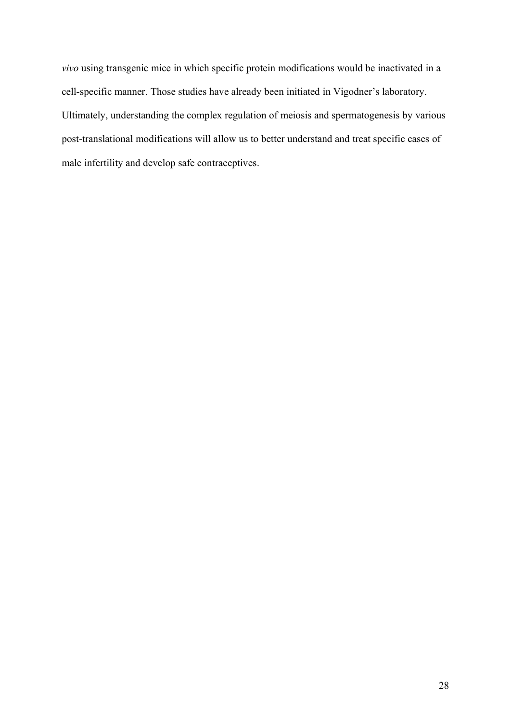*vivo* using transgenic mice in which specific protein modifications would be inactivated in a cell-specific manner. Those studies have already been initiated in Vigodner's laboratory. Ultimately, understanding the complex regulation of meiosis and spermatogenesis by various post-translational modifications will allow us to better understand and treat specific cases of male infertility and develop safe contraceptives.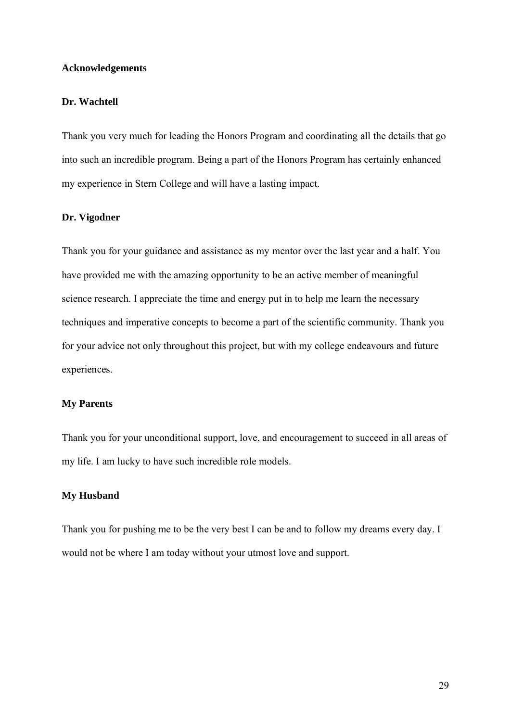#### **Acknowledgements**

#### **Dr. Wachtell**

Thank you very much for leading the Honors Program and coordinating all the details that go into such an incredible program. Being a part of the Honors Program has certainly enhanced my experience in Stern College and will have a lasting impact.

# **Dr. Vigodner**

Thank you for your guidance and assistance as my mentor over the last year and a half. You have provided me with the amazing opportunity to be an active member of meaningful science research. I appreciate the time and energy put in to help me learn the necessary techniques and imperative concepts to become a part of the scientific community. Thank you for your advice not only throughout this project, but with my college endeavours and future experiences.

#### **My Parents**

Thank you for your unconditional support, love, and encouragement to succeed in all areas of my life. I am lucky to have such incredible role models.

# **My Husband**

Thank you for pushing me to be the very best I can be and to follow my dreams every day. I would not be where I am today without your utmost love and support.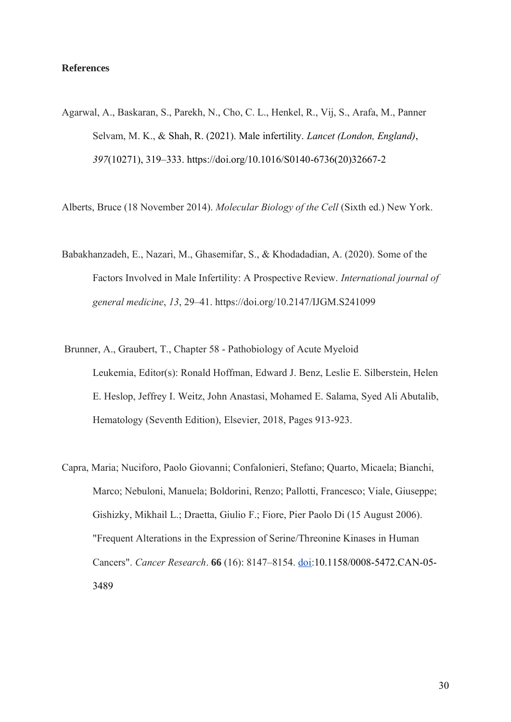# **References**

Agarwal, A., Baskaran, S., Parekh, N., Cho, C. L., Henkel, R., Vij, S., Arafa, M., Panner Selvam, M. K., & Shah, R. (2021). Male infertility. *Lancet (London, England)*, *397*(10271), 319–333. [https://doi.org/10.1016/S0140-6736\(20\)32667-2](https://doi.org/10.1016/S0140-6736(20)32667-2)

Alberts, Bruce (18 November 2014). *Molecular Biology of the Cell* (Sixth ed.) New York.

- Babakhanzadeh, E., Nazari, M., Ghasemifar, S., & Khodadadian, A. (2020). Some of the Factors Involved in Male Infertility: A Prospective Review. *International journal of general medicine*, *13*, 29–41. https://doi.org/10.2147/IJGM.S241099
- Brunner, A., Graubert, T., Chapter 58 Pathobiology of Acute Myeloid Leukemia, Editor(s): Ronald Hoffman, Edward J. Benz, Leslie E. Silberstein, Helen E. Heslop, Jeffrey I. Weitz, John Anastasi, Mohamed E. Salama, Syed Ali Abutalib, Hematology (Seventh Edition), Elsevier, 2018, Pages 913-923.
- Capra, Maria; Nuciforo, Paolo Giovanni; Confalonieri, Stefano; Quarto, Micaela; Bianchi, Marco; Nebuloni, Manuela; Boldorini, Renzo; Pallotti, Francesco; Viale, Giuseppe; Gishizky, Mikhail L.; Draetta, Giulio F.; Fiore, Pier Paolo Di (15 August 2006). "Frequent Alterations in the Expression of Serine/Threonine Kinases in Human Cancers". *Cancer Research*. **66** (16): 8147–8154. [doi:](https://en.wikipedia.org/wiki/Doi_(identifier))10.1158/0008-5472.CAN-05- 3489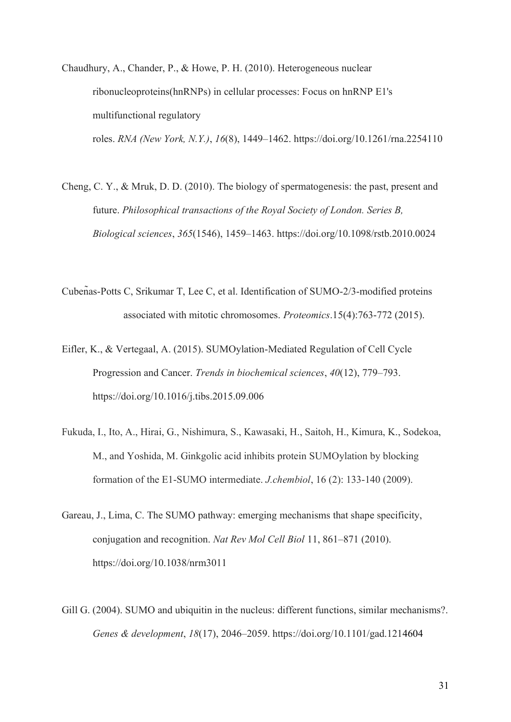Chaudhury, A., Chander, P., & Howe, P. H. (2010). Heterogeneous nuclear ribonucleoproteins(hnRNPs) in cellular processes: Focus on hnRNP E1's multifunctional regulatory roles. *RNA (New York, N.Y.)*, *16*(8), 1449–1462. https://doi.org/10.1261/rna.2254110

Cheng, C. Y., & Mruk, D. D. (2010). The biology of spermatogenesis: the past, present and future. *Philosophical transactions of the Royal Society of London. Series B, Biological sciences*, *365*(1546), 1459–1463. https://doi.org/10.1098/rstb.2010.0024

- Cubeñas-Potts C, Srikumar T, Lee C, et al. Identification of SUMO-2/3-modified proteins associated with mitotic chromosomes. *Proteomics*.15(4):763-772 (2015).
- Eifler, K., & Vertegaal, A. (2015). SUMOylation-Mediated Regulation of Cell Cycle Progression and Cancer. *Trends in biochemical sciences*, *40*(12), 779–793. https://doi.org/10.1016/j.tibs.2015.09.006
- Fukuda, I., Ito, A., Hirai, G., Nishimura, S., Kawasaki, H., Saitoh, H., Kimura, K., Sodekoa, M., and Yoshida, M. Ginkgolic acid inhibits protein SUMOylation by blocking formation of the E1-SUMO intermediate. *J.chembiol*, 16 (2): 133-140 (2009).
- Gareau, J., Lima, C. The SUMO pathway: emerging mechanisms that shape specificity, conjugation and recognition. *Nat Rev Mol Cell Biol* 11, 861–871 (2010). https://doi.org/10.1038/nrm3011
- Gill G. (2004). SUMO and ubiquitin in the nucleus: different functions, similar mechanisms?. *Genes & development*, *18*(17), 2046–2059. https://doi.org/10.1101/gad.1214604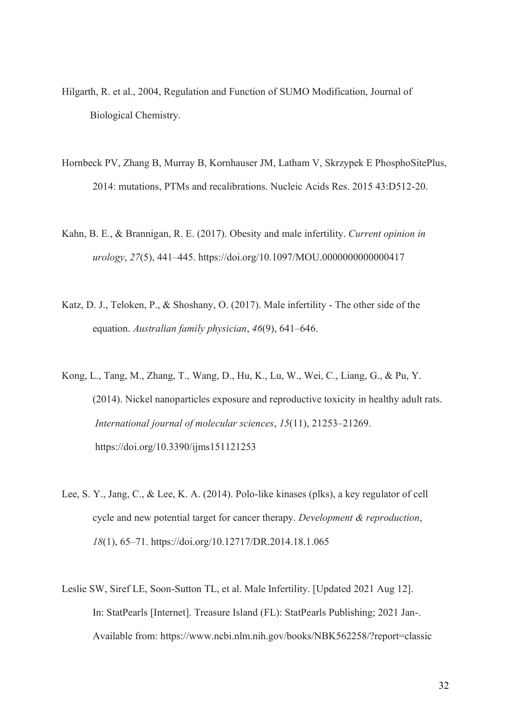- Hilgarth, R. et al., 2004, Regulation and Function of SUMO Modification, Journal of Biological Chemistry.
- Hornbeck PV, Zhang B, Murray B, Kornhauser JM, Latham V, Skrzypek E PhosphoSitePlus, 2014: mutations, PTMs and recalibrations. Nucleic Acids Res. 2015 43:D512-20.
- Kahn, B. E., & Brannigan, R. E. (2017). Obesity and male infertility. *Current opinion in urology*, *27*(5), 441–445. https://doi.org/10.1097/MOU.0000000000000417
- Katz, D. J., Teloken, P., & Shoshany, O. (2017). Male infertility The other side of the equation. *Australian family physician*, *46*(9), 641–646.
- Kong, L., Tang, M., Zhang, T., Wang, D., Hu, K., Lu, W., Wei, C., Liang, G., & Pu, Y. (2014). Nickel nanoparticles exposure and reproductive toxicity in healthy adult rats. *International journal of molecular sciences*, *15*(11), 21253–21269. https://doi.org/10.3390/ijms151121253
- Lee, S. Y., Jang, C., & Lee, K. A. (2014). Polo-like kinases (plks), a key regulator of cell cycle and new potential target for cancer therapy. *Development & reproduction*, *18*(1), 65–71. https://doi.org/10.12717/DR.2014.18.1.065
- Leslie SW, Siref LE, Soon-Sutton TL, et al. Male Infertility. [Updated 2021 Aug 12]. In: StatPearls [Internet]. Treasure Island (FL): StatPearls Publishing; 2021 Jan-. Available from: https://www.ncbi.nlm.nih.gov/books/NBK562258/?report=classic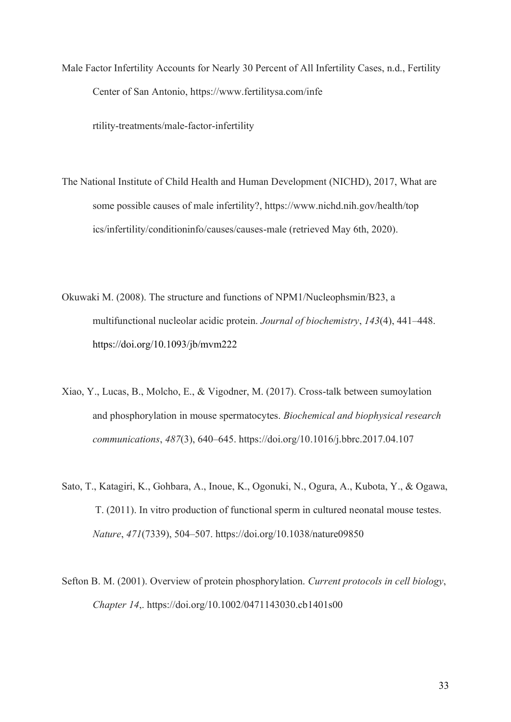Male Factor Infertility Accounts for Nearly 30 Percent of All Infertility Cases, n.d., Fertility Center of San Antonio, https://www.fertilitysa.com/infe

rtility-treatments/male-factor-infertility

- The National Institute of Child Health and Human Development (NICHD), 2017, What are some possible causes of male infertility?, https://www.nichd.nih.gov/health/top ics/infertility/conditioninfo/causes/causes-male (retrieved May 6th, 2020).
- Okuwaki M. (2008). The structure and functions of NPM1/Nucleophsmin/B23, a multifunctional nucleolar acidic protein. *Journal of biochemistry*, *143*(4), 441–448. <https://doi.org/10.1093/jb/mvm222>
- Xiao, Y., Lucas, B., Molcho, E., & Vigodner, M. (2017). Cross-talk between sumoylation and phosphorylation in mouse spermatocytes. *Biochemical and biophysical research communications*, *487*(3), 640–645. https://doi.org/10.1016/j.bbrc.2017.04.107
- Sato, T., Katagiri, K., Gohbara, A., Inoue, K., Ogonuki, N., Ogura, A., Kubota, Y., & Ogawa, T. (2011). In vitro production of functional sperm in cultured neonatal mouse testes. *Nature*, *471*(7339), 504–507. https://doi.org/10.1038/nature09850
- Sefton B. M. (2001). Overview of protein phosphorylation. *Current protocols in cell biology*, *Chapter 14*,. https://doi.org/10.1002/0471143030.cb1401s00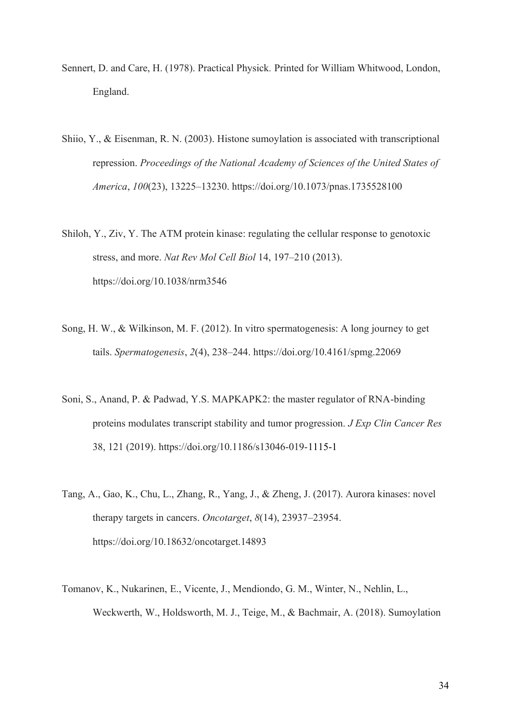- Sennert, D. and Care, H. (1978). Practical Physick*.* Printed for William Whitwood, London, England.
- Shiio, Y., & Eisenman, R. N. (2003). Histone sumoylation is associated with transcriptional repression. *Proceedings of the National Academy of Sciences of the United States of America*, *100*(23), 13225–13230. https://doi.org/10.1073/pnas.1735528100
- Shiloh, Y., Ziv, Y. The ATM protein kinase: regulating the cellular response to genotoxic stress, and more. *Nat Rev Mol Cell Biol* 14, 197–210 (2013). https://doi.org/10.1038/nrm3546
- Song, H. W., & Wilkinson, M. F. (2012). In vitro spermatogenesis: A long journey to get tails. *Spermatogenesis*, *2*(4), 238–244. https://doi.org/10.4161/spmg.22069
- Soni, S., Anand, P. & Padwad, Y.S. MAPKAPK2: the master regulator of RNA-binding proteins modulates transcript stability and tumor progression. *J Exp Clin Cancer Res* 38, 121 (2019). https://doi.org/10.1186/s13046-019-1115-1
- Tang, A., Gao, K., Chu, L., Zhang, R., Yang, J., & Zheng, J. (2017). Aurora kinases: novel therapy targets in cancers. *Oncotarget*, *8*(14), 23937–23954. https://doi.org/10.18632/oncotarget.14893
- Tomanov, K., Nukarinen, E., Vicente, J., Mendiondo, G. M., Winter, N., Nehlin, L., Weckwerth, W., Holdsworth, M. J., Teige, M., & Bachmair, A. (2018). Sumoylation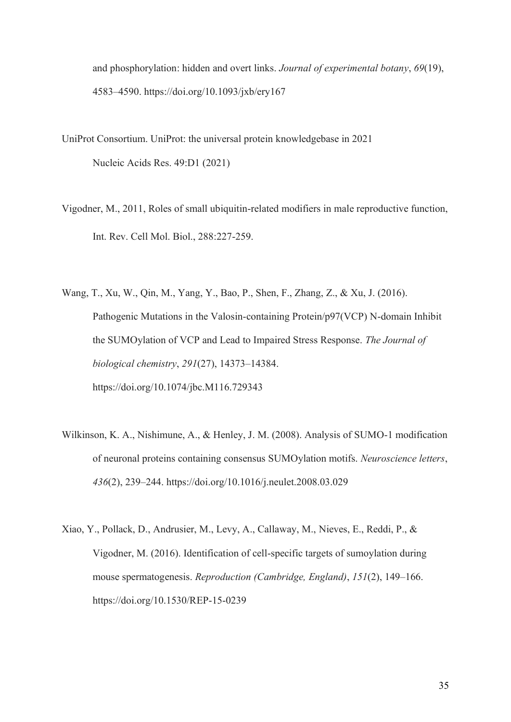and phosphorylation: hidden and overt links. *Journal of experimental botany*, *69*(19), 4583–4590. https://doi.org/10.1093/jxb/ery167

- UniProt Consortium. UniProt: the universal protein knowledgebase in 2021 [Nucleic Acids Res. 49:D1 \(2021\)](https://academic.oup.com/nar/advance-article/doi/10.1093/nar/gkaa1100/6006196)
- Vigodner, M., 2011, Roles of small ubiquitin-related modifiers in male reproductive function, Int. Rev. Cell Mol. Biol., 288:227-259.
- Wang, T., Xu, W., Qin, M., Yang, Y., Bao, P., Shen, F., Zhang, Z., & Xu, J. (2016). Pathogenic Mutations in the Valosin-containing Protein/p97(VCP) N-domain Inhibit the SUMOylation of VCP and Lead to Impaired Stress Response. *The Journal of biological chemistry*, *291*(27), 14373–14384. https://doi.org/10.1074/jbc.M116.729343
- Wilkinson, K. A., Nishimune, A., & Henley, J. M. (2008). Analysis of SUMO-1 modification of neuronal proteins containing consensus SUMOylation motifs. *Neuroscience letters*, *436*(2), 239–244. https://doi.org/10.1016/j.neulet.2008.03.029
- Xiao, Y., Pollack, D., Andrusier, M., Levy, A., Callaway, M., Nieves, E., Reddi, P., & Vigodner, M. (2016). Identification of cell-specific targets of sumoylation during mouse spermatogenesis. *Reproduction (Cambridge, England)*, *151*(2), 149–166. https://doi.org/10.1530/REP-15-0239